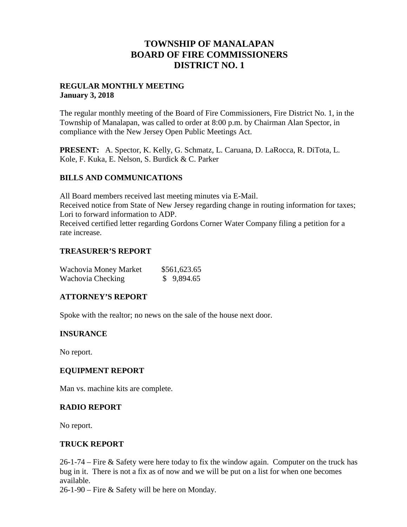## **TOWNSHIP OF MANALAPAN BOARD OF FIRE COMMISSIONERS DISTRICT NO. 1**

## **REGULAR MONTHLY MEETING January 3, 2018**

The regular monthly meeting of the Board of Fire Commissioners, Fire District No. 1, in the Township of Manalapan, was called to order at 8:00 p.m. by Chairman Alan Spector, in compliance with the New Jersey Open Public Meetings Act.

**PRESENT:** A. Spector, K. Kelly, G. Schmatz, L. Caruana, D. LaRocca, R. DiTota, L. Kole, F. Kuka, E. Nelson, S. Burdick & C. Parker

## **BILLS AND COMMUNICATIONS**

All Board members received last meeting minutes via E-Mail. Received notice from State of New Jersey regarding change in routing information for taxes; Lori to forward information to ADP. Received certified letter regarding Gordons Corner Water Company filing a petition for a rate increase.

## **TREASURER'S REPORT**

| Wachovia Money Market | \$561,623.65 |
|-----------------------|--------------|
| Wachovia Checking     | \$9,894.65   |

#### **ATTORNEY'S REPORT**

Spoke with the realtor; no news on the sale of the house next door.

#### **INSURANCE**

No report.

#### **EQUIPMENT REPORT**

Man vs. machine kits are complete.

#### **RADIO REPORT**

No report.

#### **TRUCK REPORT**

26-1-74 – Fire & Safety were here today to fix the window again. Computer on the truck has bug in it. There is not a fix as of now and we will be put on a list for when one becomes available.

26-1-90 – Fire & Safety will be here on Monday.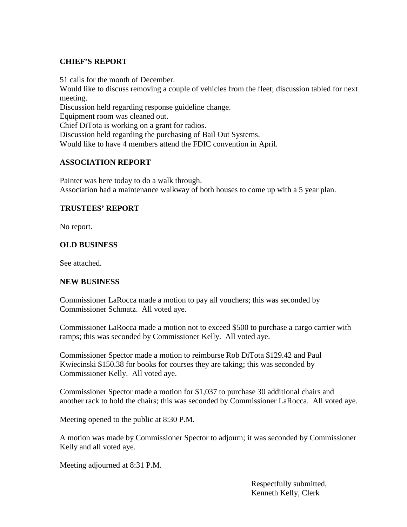## **CHIEF'S REPORT**

51 calls for the month of December.

Would like to discuss removing a couple of vehicles from the fleet; discussion tabled for next meeting.

Discussion held regarding response guideline change.

Equipment room was cleaned out.

Chief DiTota is working on a grant for radios.

Discussion held regarding the purchasing of Bail Out Systems.

Would like to have 4 members attend the FDIC convention in April.

## **ASSOCIATION REPORT**

Painter was here today to do a walk through. Association had a maintenance walkway of both houses to come up with a 5 year plan.

## **TRUSTEES' REPORT**

No report.

## **OLD BUSINESS**

See attached.

## **NEW BUSINESS**

Commissioner LaRocca made a motion to pay all vouchers; this was seconded by Commissioner Schmatz. All voted aye.

Commissioner LaRocca made a motion not to exceed \$500 to purchase a cargo carrier with ramps; this was seconded by Commissioner Kelly. All voted aye.

Commissioner Spector made a motion to reimburse Rob DiTota \$129.42 and Paul Kwiecinski \$150.38 for books for courses they are taking; this was seconded by Commissioner Kelly. All voted aye.

Commissioner Spector made a motion for \$1,037 to purchase 30 additional chairs and another rack to hold the chairs; this was seconded by Commissioner LaRocca. All voted aye.

Meeting opened to the public at 8:30 P.M.

A motion was made by Commissioner Spector to adjourn; it was seconded by Commissioner Kelly and all voted aye.

Meeting adjourned at 8:31 P.M.

Respectfully submitted, Kenneth Kelly, Clerk